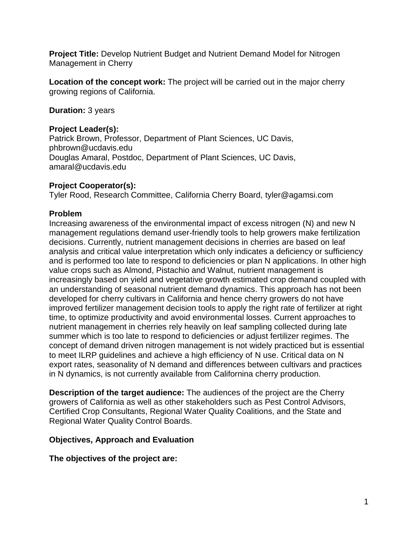**Project Title:** Develop Nutrient Budget and Nutrient Demand Model for Nitrogen Management in Cherry

**Location of the concept work:** The project will be carried out in the major cherry growing regions of California.

**Duration:** 3 years

#### **Project Leader(s):**

Patrick Brown, Professor, Department of Plant Sciences, UC Davis, phbrown@ucdavis.edu Douglas Amaral, Postdoc, Department of Plant Sciences, UC Davis, amaral@ucdavis.edu

## **Project Cooperator(s):**

Tyler Rood, Research Committee, California Cherry Board, tyler@agamsi.com

## **Problem**

Increasing awareness of the environmental impact of excess nitrogen (N) and new N management regulations demand user-friendly tools to help growers make fertilization decisions. Currently, nutrient management decisions in cherries are based on leaf analysis and critical value interpretation which only indicates a deficiency or sufficiency and is performed too late to respond to deficiencies or plan N applications. In other high value crops such as Almond, Pistachio and Walnut, nutrient management is increasingly based on yield and vegetative growth estimated crop demand coupled with an understanding of seasonal nutrient demand dynamics. This approach has not been developed for cherry cultivars in California and hence cherry growers do not have improved fertilizer management decision tools to apply the right rate of fertilizer at right time, to optimize productivity and avoid environmental losses. Current approaches to nutrient management in cherries rely heavily on leaf sampling collected during late summer which is too late to respond to deficiencies or adjust fertilizer regimes. The concept of demand driven nitrogen management is not widely practiced but is essential to meet ILRP guidelines and achieve a high efficiency of N use. Critical data on N export rates, seasonality of N demand and differences between cultivars and practices in N dynamics, is not currently available from Californina cherry production.

**Description of the target audience:** The audiences of the project are the Cherry growers of California as well as other stakeholders such as Pest Control Advisors, Certified Crop Consultants, Regional Water Quality Coalitions, and the State and Regional Water Quality Control Boards.

## **Objectives, Approach and Evaluation**

**The objectives of the project are:**